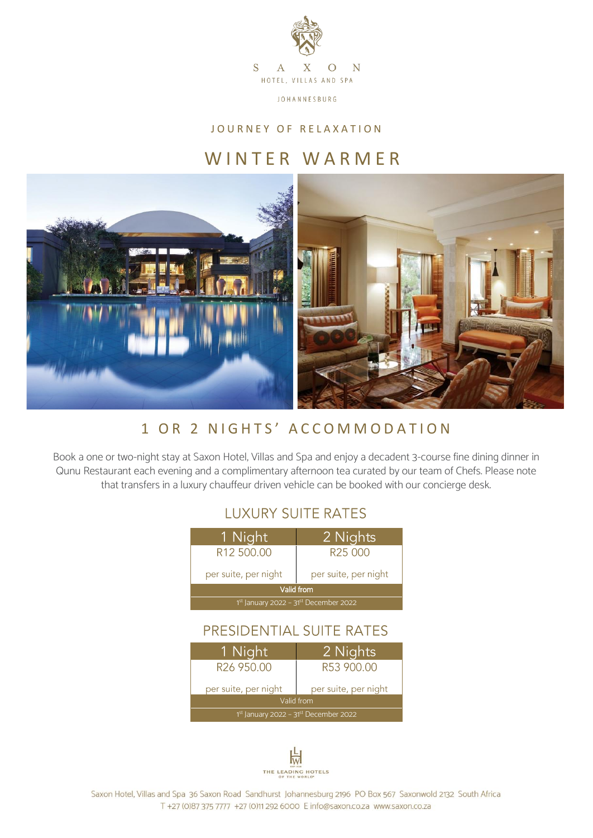

**JOHANNESBURG** 

### JOURNEY OF RELAXATION

# WINTER WARMER



# 1 OR 2 NIGHTS' ACCOMMODATION

Book a one or two-night stay at Saxon Hotel, Villas and Spa and enjoy a decadent 3-course fine dining dinner in Qunu Restaurant each evening and a complimentary afternoon tea curated by our team of Chefs. Please note that transfers in a luxury chauffeur driven vehicle can be booked with our concierge desk.

### **LUXURY SUITE RATES**

| 1 Night                                 | 2 Nights             |
|-----------------------------------------|----------------------|
| R <sub>12</sub> 500.00                  | R <sub>25</sub> 000  |
| per suite, per night                    | per suite, per night |
| Valid from                              |                      |
| $1st$ January 2022 - 31st December 2022 |                      |
|                                         |                      |

## PRESIDENTIAL SUITE RATES

| 1 Night                                 | 2 Nights             |
|-----------------------------------------|----------------------|
| R26 950.00                              | R53 900.00           |
| per suite, per night                    | per suite, per night |
| Valid from                              |                      |
| $1st$ January 2022 - 31st December 2022 |                      |



Saxon Hotel, Villas and Spa 36 Saxon Road Sandhurst Johannesburg 2196 PO Box 567 Saxonwold 2132 South Africa T +27 (0)87 375 7777 +27 (0)11 292 6000 E info@saxon.co.za www.saxon.co.za